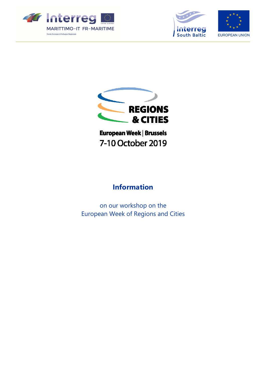







European Week | Brussels 7-10 October 2019

# **Information**

on our workshop on the European Week of Regions and Cities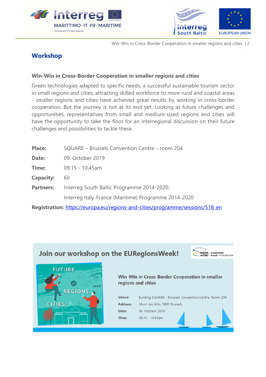



Win-Win in Cross-Border Cooperation in smaller regions and cities | 2

# <sup>|</sup>**Workshop**

#### **Win-Win in Cross-Border Cooperation in smaller regions and cities**

Green technologies adapted to specific needs, a successful sustainable tourism sector in small regions and cities, attracting skilled workforce to more rural and coastal areas - smaller regions and cities have achieved great results by working in cross-border cooperation. But the journey is not at its end yet. Looking at future challenges and opportunities, representatives from small and medium-sized regions and cities will have the opportunity to take the floor for an interregional discussion on their future challenges and possibilities to tackle these.

| <b>Place:</b>    | SQUARE - Brussels Convention Centre - room 204       |
|------------------|------------------------------------------------------|
| Date:            | 09. October 2019                                     |
| Time:            | 09:15 - 10:45am                                      |
| <b>Capacity:</b> | 60                                                   |
| <b>Partners:</b> | Interreg South Baltic Programme 2014-2020;           |
|                  | Interreg Italy-France (Maritime) Programme 2014-2020 |
|                  |                                                      |

**Registration:** https://europa.eu/regions-and-cities/programme/sessions/518\_en